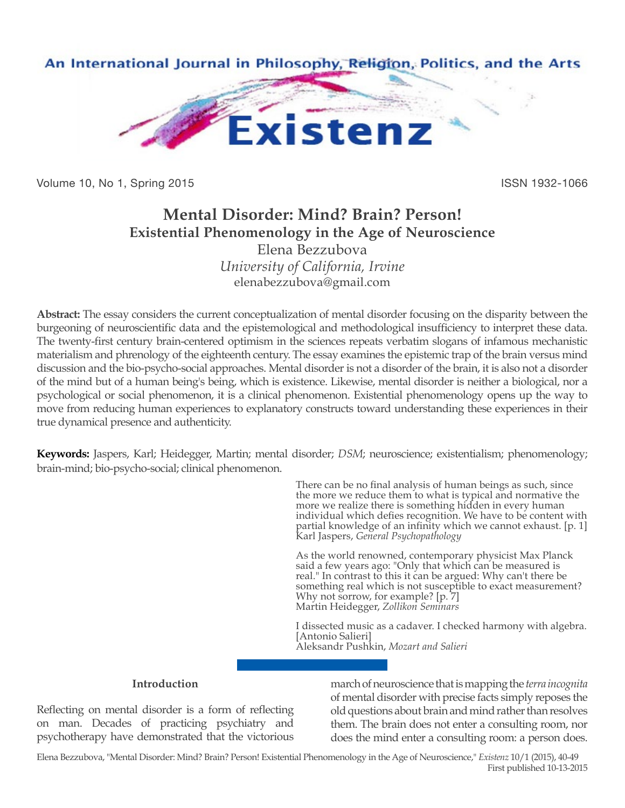

Volume 10, No 1, Spring 2015 **ISSN 1932-1066** 

# **Mental Disorder: Mind? Brain? Person! Existential Phenomenology in the Age of Neuroscience** Elena Bezzubova

*University of California, Irvine* elenabezzubova@gmail.com

**Abstract:** The essay considers the current conceptualization of mental disorder focusing on the disparity between the burgeoning of neuroscientific data and the epistemological and methodological insufficiency to interpret these data. The twenty-first century brain-centered optimism in the sciences repeats verbatim slogans of infamous mechanistic materialism and phrenology of the eighteenth century. The essay examines the epistemic trap of the brain versus mind discussion and the bio-psycho-social approaches. Mental disorder is not a disorder of the brain, it is also not a disorder of the mind but of a human being's being, which is existence. Likewise, mental disorder is neither a biological, nor a psychological or social phenomenon, it is a clinical phenomenon. Existential phenomenology opens up the way to move from reducing human experiences to explanatory constructs toward understanding these experiences in their true dynamical presence and authenticity.

**Keywords:** Jaspers, Karl; Heidegger, Martin; mental disorder; *DSM*; neuroscience; existentialism; phenomenology; brain-mind; bio-psycho-social; clinical phenomenon.

> There can be no final analysis of human beings as such, since the more we reduce them to what is typical and normative the more we realize there is something hidden in every human individual which defies recognition. We have to be content with partial knowledge of an infinity which we cannot exhaust. [p. 1] Karl Jaspers, *General Psychopathology*

As the world renowned, contemporary physicist Max Planck said a few years ago: "Only that which can be measured is real." In contrast to this it can be argued: Why can't there be something real which is not susceptible to exact measurement? Why not sorrow, for example? [p. 7] Martin Heidegger, *Zollikon Seminars*

I dissected music as a cadaver. I checked harmony with algebra. [Antonio Salieri] Aleksandr Pushkin, *Mozart and Salieri*

## **Introduction**

Reflecting on mental disorder is a form of reflecting on man. Decades of practicing psychiatry and psychotherapy have demonstrated that the victorious

march of neuroscience that is mapping the *terra incognita* of mental disorder with precise facts simply reposes the old questions about brain and mind rather than resolves them. The brain does not enter a consulting room, nor does the mind enter a consulting room: a person does.

Elena Bezzubova, "Mental Disorder: Mind? Brain? Person! Existential Phenomenology in the Age of Neuroscience," *Existenz* 10/1 (2015), 40-49 First published 10-13-2015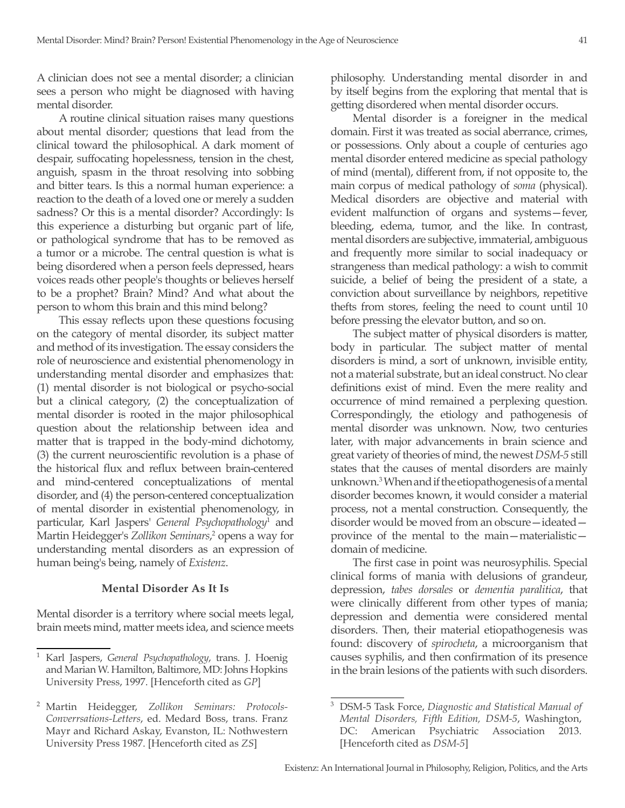A clinician does not see a mental disorder; a clinician sees a person who might be diagnosed with having mental disorder.

A routine clinical situation raises many questions about mental disorder; questions that lead from the clinical toward the philosophical. A dark moment of despair, suffocating hopelessness, tension in the chest, anguish, spasm in the throat resolving into sobbing and bitter tears. Is this a normal human experience: a reaction to the death of a loved one or merely a sudden sadness? Or this is a mental disorder? Accordingly: Is this experience a disturbing but organic part of life, or pathological syndrome that has to be removed as a tumor or a microbe. The central question is what is being disordered when a person feels depressed, hears voices reads other people's thoughts or believes herself to be a prophet? Brain? Mind? And what about the person to whom this brain and this mind belong?

This essay reflects upon these questions focusing on the category of mental disorder, its subject matter and method of its investigation. The essay considers the role of neuroscience and existential phenomenology in understanding mental disorder and emphasizes that: (1) mental disorder is not biological or psycho-social but a clinical category, (2) the conceptualization of mental disorder is rooted in the major philosophical question about the relationship between idea and matter that is trapped in the body-mind dichotomy, (3) the current neuroscientific revolution is a phase of the historical flux and reflux between brain-centered and mind-centered conceptualizations of mental disorder, and (4) the person-centered conceptualization of mental disorder in existential phenomenology, in particular, Karl Jaspers' *General Psychopathology*<sup>1</sup> and Martin Heidegger's Zollikon Seminars,<sup>2</sup> opens a way for understanding mental disorders as an expression of human being's being, namely of *Existenz*.

#### **Mental Disorder As It Is**

Mental disorder is a territory where social meets legal, brain meets mind, matter meets idea, and science meets

philosophy. Understanding mental disorder in and by itself begins from the exploring that mental that is getting disordered when mental disorder occurs.

Mental disorder is a foreigner in the medical domain. First it was treated as social aberrance, crimes, or possessions. Only about a couple of centuries ago mental disorder entered medicine as special pathology of mind (mental), different from, if not opposite to, the main corpus of medical pathology of *soma* (physical). Medical disorders are objective and material with evident malfunction of organs and systems—fever, bleeding, edema, tumor, and the like. In contrast, mental disorders are subjective, immaterial, ambiguous and frequently more similar to social inadequacy or strangeness than medical pathology: a wish to commit suicide, a belief of being the president of a state, a conviction about surveillance by neighbors, repetitive thefts from stores, feeling the need to count until 10 before pressing the elevator button, and so on.

The subject matter of physical disorders is matter, body in particular. The subject matter of mental disorders is mind, a sort of unknown, invisible entity, not a material substrate, but an ideal construct. No clear definitions exist of mind. Even the mere reality and occurrence of mind remained a perplexing question. Correspondingly, the etiology and pathogenesis of mental disorder was unknown. Now, two centuries later, with major advancements in brain science and great variety of theories of mind, the newest *DSM-5* still states that the causes of mental disorders are mainly unknown.3 When and if the etiopathogenesis of a mental disorder becomes known, it would consider a material process, not a mental construction. Consequently, the disorder would be moved from an obscure—ideated province of the mental to the main—materialistic domain of medicine.

The first case in point was neurosyphilis. Special clinical forms of mania with delusions of grandeur, depression, *tabes dorsales* or *dementia paralitica*, that were clinically different from other types of mania; depression and dementia were considered mental disorders. Then, their material etiopathogenesis was found: discovery of *spirocheta*, a microorganism that causes syphilis, and then confirmation of its presence in the brain lesions of the patients with such disorders.

<sup>1</sup> Karl Jaspers, *General Psychopathology*, trans. J. Hoenig and Marian W. Hamilton, Baltimore, MD: Johns Hopkins University Press, 1997. [Henceforth cited as *GP*]

<sup>2</sup> Martin Heidegger, *Zollikon Seminars: Protocols-Converrsations-Letters*, ed. Medard Boss, trans. Franz Mayr and Richard Askay, Evanston, IL: Nothwestern University Press 1987. [Henceforth cited as *ZS*]

<sup>3</sup> DSM-5 Task Force, *Diagnostic and Statistical Manual of Mental Disorders, Fifth Edition, DSM-5*, Washington, DC: American Psychiatric Association 2013. [Henceforth cited as *DSM-5*]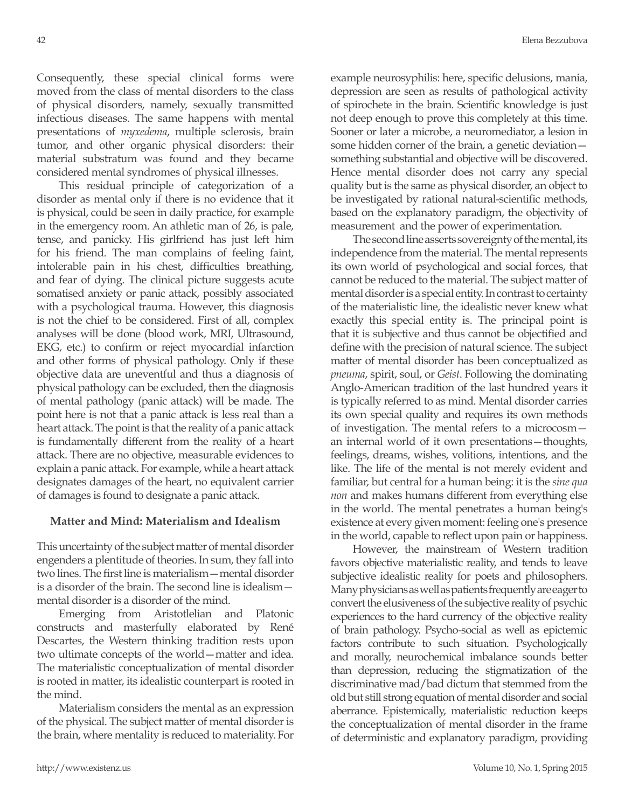Consequently, these special clinical forms were moved from the class of mental disorders to the class of physical disorders, namely, sexually transmitted infectious diseases. The same happens with mental presentations of *myxedema*, multiple sclerosis, brain tumor, and other organic physical disorders: their material substratum was found and they became considered mental syndromes of physical illnesses.

This residual principle of categorization of a disorder as mental only if there is no evidence that it is physical, could be seen in daily practice, for example in the emergency room. An athletic man of 26, is pale, tense, and panicky. His girlfriend has just left him for his friend. The man complains of feeling faint, intolerable pain in his chest, difficulties breathing, and fear of dying. The clinical picture suggests acute somatised anxiety or panic attack, possibly associated with a psychological trauma. However, this diagnosis is not the chief to be considered. First of all, complex analyses will be done (blood work, MRI, Ultrasound, EKG, etc.) to confirm or reject myocardial infarction and other forms of physical pathology. Only if these objective data are uneventful and thus a diagnosis of physical pathology can be excluded, then the diagnosis of mental pathology (panic attack) will be made. The point here is not that a panic attack is less real than a heart attack. The point is that the reality of a panic attack is fundamentally different from the reality of a heart attack. There are no objective, measurable evidences to explain a panic attack. For example, while a heart attack designates damages of the heart, no equivalent carrier of damages is found to designate a panic attack.

#### **Matter and Mind: Materialism and Idealism**

This uncertainty of the subject matter of mental disorder engenders a plentitude of theories. In sum, they fall into two lines. The first line is materialism—mental disorder is a disorder of the brain. The second line is idealism mental disorder is a disorder of the mind.

Emerging from Aristotlelian and Platonic constructs and masterfully elaborated by René Descartes, the Western thinking tradition rests upon two ultimate concepts of the world—matter and idea. The materialistic conceptualization of mental disorder is rooted in matter, its idealistic counterpart is rooted in the mind.

Materialism considers the mental as an expression of the physical. The subject matter of mental disorder is the brain, where mentality is reduced to materiality. For example neurosyphilis: here, specific delusions, mania, depression are seen as results of pathological activity of spirochete in the brain. Scientific knowledge is just not deep enough to prove this completely at this time. Sooner or later a microbe, a neuromediator, a lesion in some hidden corner of the brain, a genetic deviation something substantial and objective will be discovered. Hence mental disorder does not carry any special quality but is the same as physical disorder, an object to be investigated by rational natural-scientific methods, based on the explanatory paradigm, the objectivity of measurement and the power of experimentation.

The second line asserts sovereignty of the mental, its independence from the material. The mental represents its own world of psychological and social forces, that cannot be reduced to the material. The subject matter of mental disorder is a special entity. In contrast to certainty of the materialistic line, the idealistic never knew what exactly this special entity is. The principal point is that it is subjective and thus cannot be objectified and define with the precision of natural science. The subject matter of mental disorder has been conceptualized as *pneuma*, spirit, soul, or *Geist*. Following the dominating Anglo-American tradition of the last hundred years it is typically referred to as mind. Mental disorder carries its own special quality and requires its own methods of investigation. The mental refers to a microcosm an internal world of it own presentations—thoughts, feelings, dreams, wishes, volitions, intentions, and the like. The life of the mental is not merely evident and familiar, but central for a human being: it is the *sine qua non* and makes humans different from everything else in the world. The mental penetrates a human being's existence at every given moment: feeling one's presence in the world, capable to reflect upon pain or happiness.

However, the mainstream of Western tradition favors objective materialistic reality, and tends to leave subjective idealistic reality for poets and philosophers. Many physicians as well as patients frequently are eager to convert the elusiveness of the subjective reality of psychic experiences to the hard currency of the objective reality of brain pathology. Psycho-social as well as epictemic factors contribute to such situation. Psychologically and morally, neurochemical imbalance sounds better than depression, reducing the stigmatization of the discriminative mad/bad dictum that stemmed from the old but still strong equation of mental disorder and social aberrance. Epistemically, materialistic reduction keeps the conceptualization of mental disorder in the frame of deterministic and explanatory paradigm, providing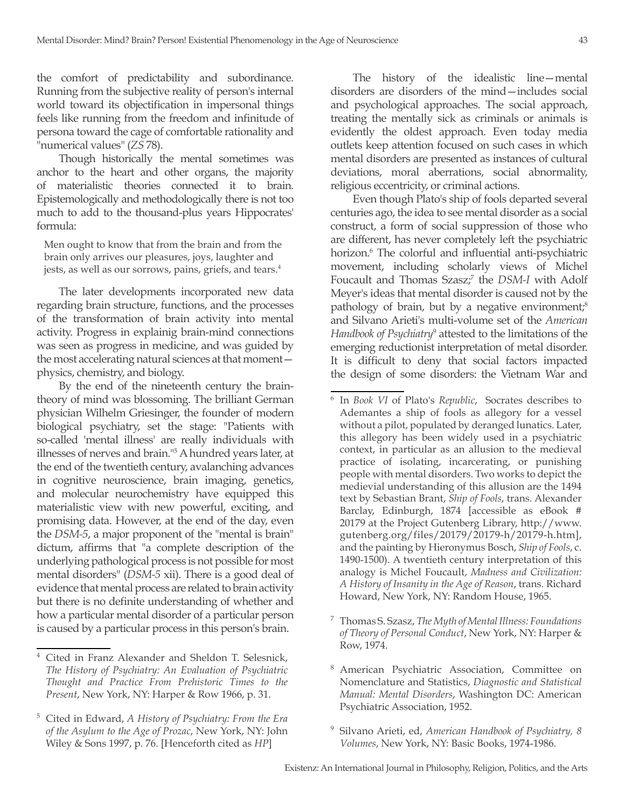the comfort of predictability and subordinance. Running from the subjective reality of person's internal world toward its objectification in impersonal things feels like running from the freedom and infinitude of persona toward the cage of comfortable rationality and "numerical values" (*ZS* 78).

Though historically the mental sometimes was anchor to the heart and other organs, the majority of materialistic theories connected it to brain. Epistemologically and methodologically there is not too much to add to the thousand-plus years Hippocrates' formula:

Men ought to know that from the brain and from the brain only arrives our pleasures, joys, laughter and jests, as well as our sorrows, pains, griefs, and tears.<sup>4</sup>

The later developments incorporated new data regarding brain structure, functions, and the processes of the transformation of brain activity into mental activity. Progress in explainig brain-mind connections was seen as progress in medicine, and was guided by the most accelerating natural sciences at that moment physics, chemistry, and biology.

By the end of the nineteenth century the braintheory of mind was blossoming. The brilliant German physician Wilhelm Griesinger, the founder of modern biological psychiatry, set the stage: "Patients with so-called 'mental illness' are really individuals with illnesses of nerves and brain."<sup>5</sup> A hundred years later, at the end of the twentieth century, avalanching advances in cognitive neuroscience, brain imaging, genetics, and molecular neurochemistry have equipped this materialistic view with new powerful, exciting, and promising data. However, at the end of the day, even the *DSM-5*, a major proponent of the "mental is brain" dictum, affirms that "a complete description of the underlying pathological process is not possible for most mental disorders" (*DSM-5* xii). There is a good deal of evidence that mental process are related to brain activity but there is no definite understanding of whether and how a particular mental disorder of a particular person is caused by a particular process in this person's brain.

The history of the idealistic line—mental disorders are disorders of the mind—includes social and psychological approaches. The social approach, treating the mentally sick as criminals or animals is evidently the oldest approach. Even today media outlets keep attention focused on such cases in which mental disorders are presented as instances of cultural deviations, moral aberrations, social abnormality, religious eccentricity, or criminal actions.

Even though Plato's ship of fools departed several centuries ago, the idea to see mental disorder as a social construct, a form of social suppression of those who are different, has never completely left the psychiatric horizon.<sup>6</sup> The colorful and influential anti-psychiatric movement, including scholarly views of Michel Foucault and Thomas Szasz;<sup>7</sup> the *DSM-I* with Adolf Meyer's ideas that mental disorder is caused not by the pathology of brain, but by a negative environment; $s^8$ and Silvano Arieti's multi-volume set of the *American*  Handbook of Psychiatry<sup>9</sup> attested to the limitations of the emerging reductionist interpretation of metal disorder. It is difficult to deny that social factors impacted the design of some disorders: the Vietnam War and

- <sup>7</sup> Thomas S. Szasz, *The Myth of Mental Illness: Foundations of Theory of Personal Conduct*, New York, NY: Harper & Row, 1974.
- <sup>8</sup> American Psychiatric Association, Committee on Nomenclature and Statistics, *Diagnostic and Statistical Manual: Mental Disorders*, Washington DC: American Psychiatric Association, 1952.
- <sup>9</sup> Silvano Arieti, ed, *American Handbook of Psychiatry, 8 Volumes*, New York, NY: Basic Books, 1974-1986.

<sup>4</sup> Cited in Franz Alexander and Sheldon T. Selesnick, *The History of Psychiatry: An Evaluation of Psychiatric Thought and Practice From Prehistoric Times to the Present*, New York, NY: Harper & Row 1966, p. 31.

<sup>5</sup> Cited in Edward, *A History of Psychiatry: From the Era of the Asylum to the Age of Prozac*, New York, NY: John Wiley & Sons 1997, p. 76. [Henceforth cited as *HP*]

<sup>6</sup> In *Book VI* of Plato's *Republic*, Socrates describes to Ademantes a ship of fools as allegory for a vessel without a pilot, populated by deranged lunatics. Later, this allegory has been widely used in a psychiatric context, in particular as an allusion to the medieval practice of isolating, incarcerating, or punishing people with mental disorders. Two works to depict the medievial understanding of this allusion are the 1494 text by Sebastian Brant, *Ship of Fools*, trans. Alexander Barclay, Edinburgh, 1874 [accessible as eBook # 20179 at the Project Gutenberg Library, http://www. gutenberg.org/files/20179/20179-h/20179-h.htm], and the painting by Hieronymus Bosch, *Ship of Fools*, c. 1490-1500). A twentieth century interpretation of this analogy is Michel Foucault, *Madness and Civilization: A History of Insanity in the Age of Reason*, trans. Richard Howard, New York, NY: Random House, 1965.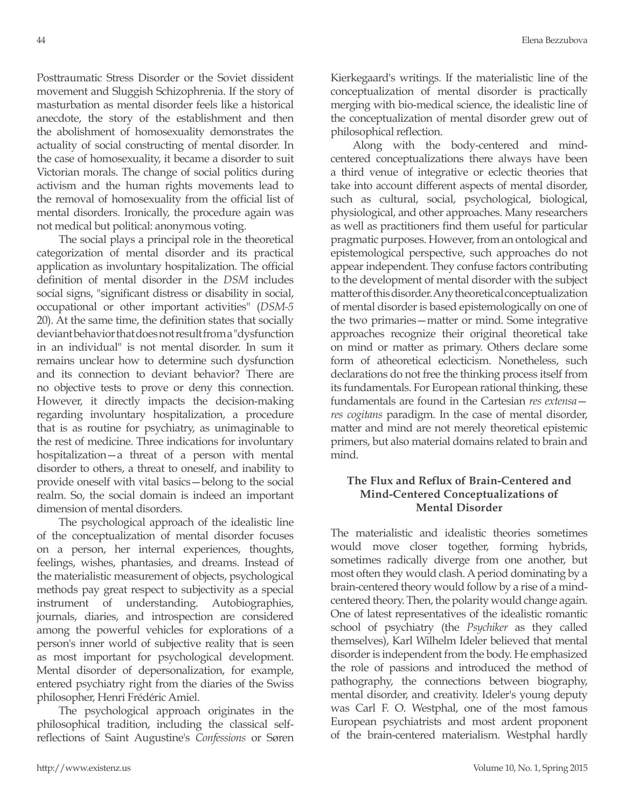Posttraumatic Stress Disorder or the Soviet dissident movement and Sluggish Schizophrenia. If the story of masturbation as mental disorder feels like a historical anecdote, the story of the establishment and then the abolishment of homosexuality demonstrates the actuality of social constructing of mental disorder. In the case of homosexuality, it became a disorder to suit Victorian morals. The change of social politics during activism and the human rights movements lead to the removal of homosexuality from the official list of mental disorders. Ironically, the procedure again was not medical but political: anonymous voting.

The social plays a principal role in the theoretical categorization of mental disorder and its practical application as involuntary hospitalization. The official definition of mental disorder in the *DSM* includes social signs, "significant distress or disability in social, occupational or other important activities" (*DSM-5*  20). At the same time, the definition states that socially deviant behavior that does not result from a "dysfunction in an individual" is not mental disorder. In sum it remains unclear how to determine such dysfunction and its connection to deviant behavior? There are no objective tests to prove or deny this connection. However, it directly impacts the decision-making regarding involuntary hospitalization, a procedure that is as routine for psychiatry, as unimaginable to the rest of medicine. Three indications for involuntary hospitalization—a threat of a person with mental disorder to others, a threat to oneself, and inability to provide oneself with vital basics—belong to the social realm. So, the social domain is indeed an important dimension of mental disorders.

The psychological approach of the idealistic line of the conceptualization of mental disorder focuses on a person, her internal experiences, thoughts, feelings, wishes, phantasies, and dreams. Instead of the materialistic measurement of objects, psychological methods pay great respect to subjectivity as a special instrument of understanding. Autobiographies, journals, diaries, and introspection are considered among the powerful vehicles for explorations of a person's inner world of subjective reality that is seen as most important for psychological development. Mental disorder of depersonalization, for example, entered psychiatry right from the diaries of the Swiss philosopher, Henri Frédéric Amiel.

The psychological approach originates in the philosophical tradition, including the classical selfreflections of Saint Augustine's *Confessions* or Søren Kierkegaard's writings. If the materialistic line of the conceptualization of mental disorder is practically merging with bio-medical science, the idealistic line of the conceptualization of mental disorder grew out of philosophical reflection.

Along with the body-centered and mindcentered conceptualizations there always have been a third venue of integrative or eclectic theories that take into account different aspects of mental disorder, such as cultural, social, psychological, biological, physiological, and other approaches. Many researchers as well as practitioners find them useful for particular pragmatic purposes. However, from an ontological and epistemological perspective, such approaches do not appear independent. They confuse factors contributing to the development of mental disorder with the subject matter of this disorder. Any theoretical conceptualization of mental disorder is based epistemologically on one of the two primaries—matter or mind. Some integrative approaches recognize their original theoretical take on mind or matter as primary. Others declare some form of atheoretical eclecticism. Nonetheless, such declarations do not free the thinking process itself from its fundamentals. For European rational thinking, these fundamentals are found in the Cartesian *res extensa res cogitans* paradigm. In the case of mental disorder, matter and mind are not merely theoretical epistemic primers, but also material domains related to brain and mind.

## **The Flux and Reflux of Brain-Centered and Mind-Centered Conceptualizations of Mental Disorder**

The materialistic and idealistic theories sometimes would move closer together, forming hybrids, sometimes radically diverge from one another, but most often they would clash. A period dominating by a brain-centered theory would follow by a rise of a mindcentered theory. Then, the polarity would change again. One of latest representatives of the idealistic romantic school of psychiatry (the *Psychiker* as they called themselves), Karl Wilhelm Ideler believed that mental disorder is independent from the body. He emphasized the role of passions and introduced the method of pathography, the connections between biography, mental disorder, and creativity. Ideler's young deputy was Carl F. O. Westphal, one of the most famous European psychiatrists and most ardent proponent of the brain-centered materialism. Westphal hardly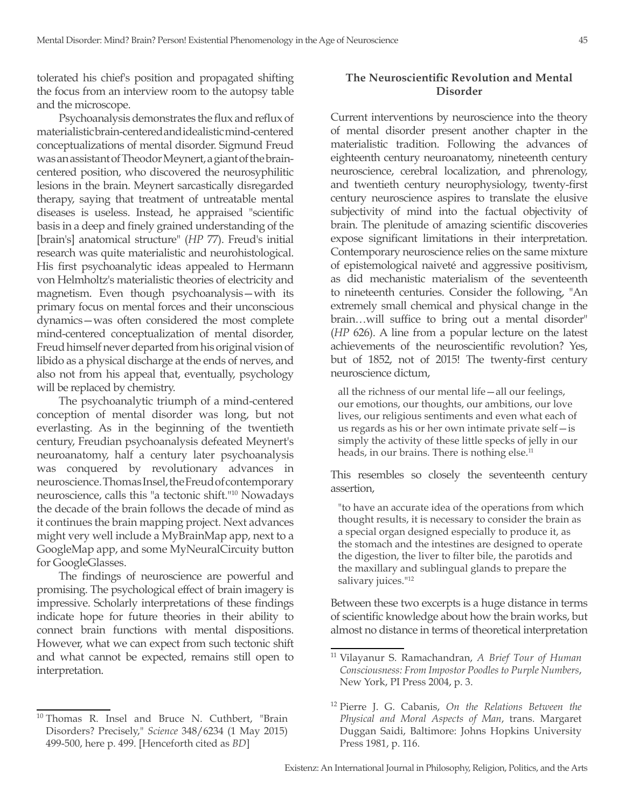tolerated his chief's position and propagated shifting the focus from an interview room to the autopsy table and the microscope.

Psychoanalysis demonstrates the flux and reflux of materialistic brain-centered and idealistic mind-centered conceptualizations of mental disorder. Sigmund Freud was an assistant of Theodor Meynert, a giant of the braincentered position, who discovered the neurosyphilitic lesions in the brain. Meynert sarcastically disregarded therapy, saying that treatment of untreatable mental diseases is useless. Instead, he appraised "scientific basis in a deep and finely grained understanding of the [brain's] anatomical structure" (*HP* 77). Freud's initial research was quite materialistic and neurohistological. His first psychoanalytic ideas appealed to Hermann von Helmholtz's materialistic theories of electricity and magnetism. Even though psychoanalysis—with its primary focus on mental forces and their unconscious dynamics—was often considered the most complete mind-centered conceptualization of mental disorder, Freud himself never departed from his original vision of libido as a physical discharge at the ends of nerves, and also not from his appeal that, eventually, psychology will be replaced by chemistry.

The psychoanalytic triumph of a mind-centered conception of mental disorder was long, but not everlasting. As in the beginning of the twentieth century, Freudian psychoanalysis defeated Meynert's neuroanatomy, half a century later psychoanalysis was conquered by revolutionary advances in neuroscience. Thomas Insel, the Freud of contemporary neuroscience, calls this "a tectonic shift."<sup>10</sup> Nowadays the decade of the brain follows the decade of mind as it continues the brain mapping project. Next advances might very well include a MyBrainMap app, next to a GoogleMap app, and some MyNeuralCircuity button for GoogleGlasses.

The findings of neuroscience are powerful and promising. The psychological effect of brain imagery is impressive. Scholarly interpretations of these findings indicate hope for future theories in their ability to connect brain functions with mental dispositions. However, what we can expect from such tectonic shift and what cannot be expected, remains still open to interpretation.

### **The Neuroscientific Revolution and Mental Disorder**

Current interventions by neuroscience into the theory of mental disorder present another chapter in the materialistic tradition. Following the advances of eighteenth century neuroanatomy, nineteenth century neuroscience, cerebral localization, and phrenology, and twentieth century neurophysiology, twenty-first century neuroscience aspires to translate the elusive subjectivity of mind into the factual objectivity of brain. The plenitude of amazing scientific discoveries expose significant limitations in their interpretation. Contemporary neuroscience relies on the same mixture of epistemological naiveté and aggressive positivism, as did mechanistic materialism of the seventeenth to nineteenth centuries. Consider the following, "An extremely small chemical and physical change in the brain…will suffice to bring out a mental disorder" (*HP* 626). A line from a popular lecture on the latest achievements of the neuroscientific revolution? Yes, but of 1852, not of 2015! The twenty-first century neuroscience dictum,

all the richness of our mental life—all our feelings, our emotions, our thoughts, our ambitions, our love lives, our religious sentiments and even what each of us regards as his or her own intimate private self—is simply the activity of these little specks of jelly in our heads, in our brains. There is nothing else.<sup>11</sup>

This resembles so closely the seventeenth century assertion,

"to have an accurate idea of the operations from which thought results, it is necessary to consider the brain as a special organ designed especially to produce it, as the stomach and the intestines are designed to operate the digestion, the liver to filter bile, the parotids and the maxillary and sublingual glands to prepare the salivary juices."<sup>12</sup>

Between these two excerpts is a huge distance in terms of scientific knowledge about how the brain works, but almost no distance in terms of theoretical interpretation

<sup>&</sup>lt;sup>10</sup> Thomas R. Insel and Bruce N. Cuthbert, "Brain Disorders? Precisely," *Science* 348/6234 (1 May 2015) 499-500, here p. 499. [Henceforth cited as *BD*]

<sup>11</sup> Vilayanur S. Ramachandran, *A Brief Tour of Human Consciousness: From Impostor Poodles to Purple Numbers*, New York, PI Press 2004, p. 3.

<sup>12</sup> Pierre J. G. Cabanis, *On the Relations Between the Physical and Moral Aspects of Man*, trans. Margaret Duggan Saidi, Baltimore: Johns Hopkins University Press 1981, p. 116.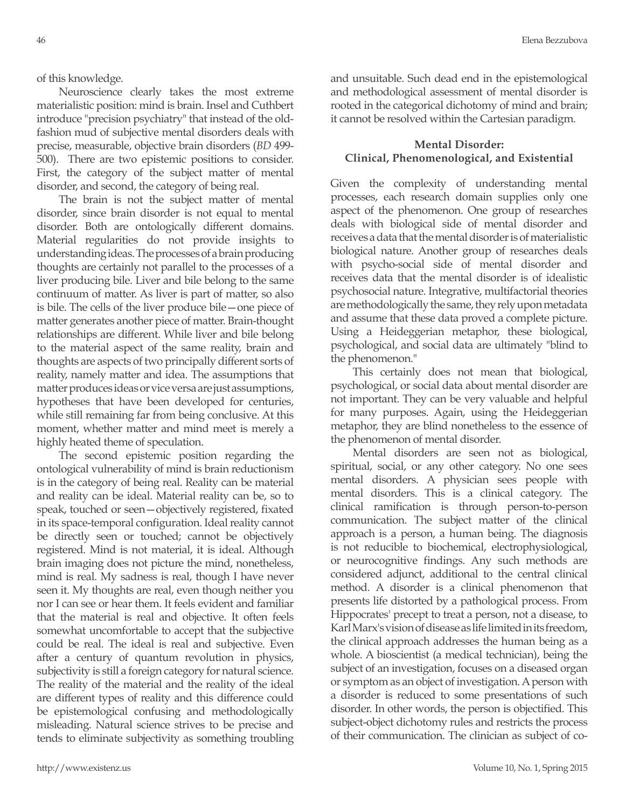of this knowledge.

Neuroscience clearly takes the most extreme materialistic position: mind is brain. Insel and Cuthbert introduce "precision psychiatry" that instead of the oldfashion mud of subjective mental disorders deals with precise, measurable, objective brain disorders (*BD* 499- 500). There are two epistemic positions to consider. First, the category of the subject matter of mental disorder, and second, the category of being real.

The brain is not the subject matter of mental disorder, since brain disorder is not equal to mental disorder. Both are ontologically different domains. Material regularities do not provide insights to understanding ideas. The processes of a brain producing thoughts are certainly not parallel to the processes of a liver producing bile. Liver and bile belong to the same continuum of matter. As liver is part of matter, so also is bile. The cells of the liver produce bile—one piece of matter generates another piece of matter. Brain-thought relationships are different. While liver and bile belong to the material aspect of the same reality, brain and thoughts are aspects of two principally different sorts of reality, namely matter and idea. The assumptions that matter produces ideas or vice versa are just assumptions, hypotheses that have been developed for centuries, while still remaining far from being conclusive. At this moment, whether matter and mind meet is merely a highly heated theme of speculation.

The second epistemic position regarding the ontological vulnerability of mind is brain reductionism is in the category of being real. Reality can be material and reality can be ideal. Material reality can be, so to speak, touched or seen—objectively registered, fixated in its space-temporal configuration. Ideal reality cannot be directly seen or touched; cannot be objectively registered. Mind is not material, it is ideal. Although brain imaging does not picture the mind, nonetheless, mind is real. My sadness is real, though I have never seen it. My thoughts are real, even though neither you nor I can see or hear them. It feels evident and familiar that the material is real and objective. It often feels somewhat uncomfortable to accept that the subjective could be real. The ideal is real and subjective. Even after a century of quantum revolution in physics, subjectivity is still a foreign category for natural science. The reality of the material and the reality of the ideal are different types of reality and this difference could be epistemological confusing and methodologically misleading. Natural science strives to be precise and tends to eliminate subjectivity as something troubling and unsuitable. Such dead end in the epistemological and methodological assessment of mental disorder is rooted in the categorical dichotomy of mind and brain; it cannot be resolved within the Cartesian paradigm.

## **Mental Disorder: Clinical, Phenomenological, and Existential**

Given the complexity of understanding mental processes, each research domain supplies only one aspect of the phenomenon. One group of researches deals with biological side of mental disorder and receives a data that the mental disorder is of materialistic biological nature. Another group of researches deals with psycho-social side of mental disorder and receives data that the mental disorder is of idealistic psychosocial nature. Integrative, multifactorial theories are methodologically the same, they rely upon metadata and assume that these data proved a complete picture. Using a Heideggerian metaphor, these biological, psychological, and social data are ultimately "blind to the phenomenon."

This certainly does not mean that biological, psychological, or social data about mental disorder are not important. They can be very valuable and helpful for many purposes. Again, using the Heideggerian metaphor, they are blind nonetheless to the essence of the phenomenon of mental disorder.

Mental disorders are seen not as biological, spiritual, social, or any other category. No one sees mental disorders. A physician sees people with mental disorders. This is a clinical category. The clinical ramification is through person-to-person communication. The subject matter of the clinical approach is a person, a human being. The diagnosis is not reducible to biochemical, electrophysiological, or neurocognitive findings. Any such methods are considered adjunct, additional to the central clinical method. A disorder is a clinical phenomenon that presents life distorted by a pathological process. From Hippocrates' precept to treat a person, not a disease, to Karl Marx's vision of disease as life limited in its freedom, the clinical approach addresses the human being as a whole. A bioscientist (a medical technician), being the subject of an investigation, focuses on a diseased organ or symptom as an object of investigation. A person with a disorder is reduced to some presentations of such disorder. In other words, the person is objectified. This subject-object dichotomy rules and restricts the process of their communication. The clinician as subject of co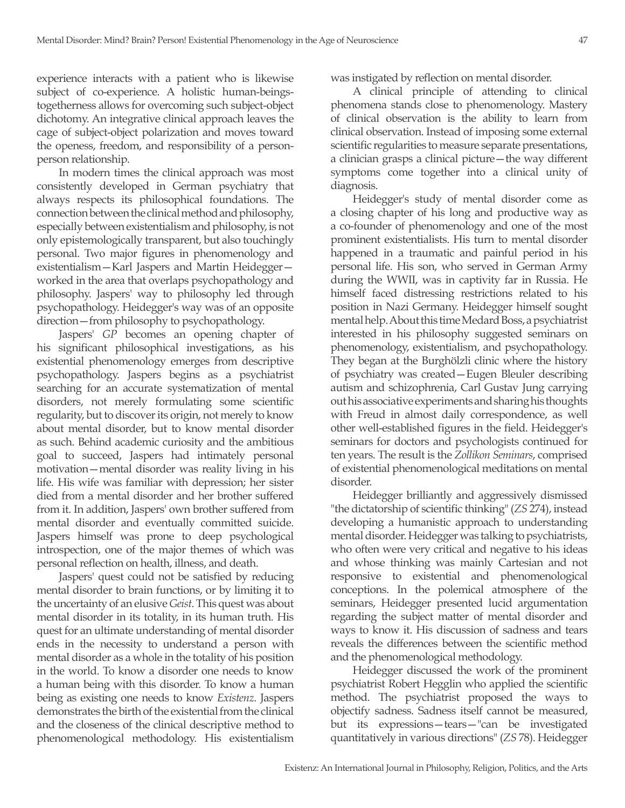experience interacts with a patient who is likewise subject of co-experience. A holistic human-beingstogetherness allows for overcoming such subject-object dichotomy. An integrative clinical approach leaves the cage of subject-object polarization and moves toward the openess, freedom, and responsibility of a personperson relationship.

In modern times the clinical approach was most consistently developed in German psychiatry that always respects its philosophical foundations. The connection between the clinical method and philosophy, especially between existentialism and philosophy, is not only epistemologically transparent, but also touchingly personal. Two major figures in phenomenology and existentialism—Karl Jaspers and Martin Heidegger worked in the area that overlaps psychopathology and philosophy. Jaspers' way to philosophy led through psychopathology. Heidegger's way was of an opposite direction—from philosophy to psychopathology.

Jaspers' *GP* becomes an opening chapter of his significant philosophical investigations, as his existential phenomenology emerges from descriptive psychopathology. Jaspers begins as a psychiatrist searching for an accurate systematization of mental disorders, not merely formulating some scientific regularity, but to discover its origin, not merely to know about mental disorder, but to know mental disorder as such. Behind academic curiosity and the ambitious goal to succeed, Jaspers had intimately personal motivation—mental disorder was reality living in his life. His wife was familiar with depression; her sister died from a mental disorder and her brother suffered from it. In addition, Jaspers' own brother suffered from mental disorder and eventually committed suicide. Jaspers himself was prone to deep psychological introspection, one of the major themes of which was personal reflection on health, illness, and death.

Jaspers' quest could not be satisfied by reducing mental disorder to brain functions, or by limiting it to the uncertainty of an elusive *Geist*. This quest was about mental disorder in its totality, in its human truth. His quest for an ultimate understanding of mental disorder ends in the necessity to understand a person with mental disorder as a whole in the totality of his position in the world. To know a disorder one needs to know a human being with this disorder. To know a human being as existing one needs to know *Existenz*. Jaspers demonstrates the birth of the existential from the clinical and the closeness of the clinical descriptive method to phenomenological methodology. His existentialism

was instigated by reflection on mental disorder.

A clinical principle of attending to clinical phenomena stands close to phenomenology. Mastery of clinical observation is the ability to learn from clinical observation. Instead of imposing some external scientific regularities to measure separate presentations, a clinician grasps a clinical picture—the way different symptoms come together into a clinical unity of diagnosis.

Heidegger's study of mental disorder come as a closing chapter of his long and productive way as a co-founder of phenomenology and one of the most prominent existentialists. His turn to mental disorder happened in a traumatic and painful period in his personal life. His son, who served in German Army during the WWII, was in captivity far in Russia. He himself faced distressing restrictions related to his position in Nazi Germany. Heidegger himself sought mental help. About this time Medard Boss, a psychiatrist interested in his philosophy suggested seminars on phenomenology, existentialism, and psychopathology. They began at the Burghölzli clinic where the history of psychiatry was created—Eugen Bleuler describing autism and schizophrenia, Carl Gustav Jung carrying out his associative experiments and sharing his thoughts with Freud in almost daily correspondence, as well other well-established figures in the field. Heidegger's seminars for doctors and psychologists continued for ten years. The result is the *Zollikon Seminars*, comprised of existential phenomenological meditations on mental disorder.

Heidegger brilliantly and aggressively dismissed "the dictatorship of scientific thinking" (*ZS* 274), instead developing a humanistic approach to understanding mental disorder. Heidegger was talking to psychiatrists, who often were very critical and negative to his ideas and whose thinking was mainly Cartesian and not responsive to existential and phenomenological conceptions. In the polemical atmosphere of the seminars, Heidegger presented lucid argumentation regarding the subject matter of mental disorder and ways to know it. His discussion of sadness and tears reveals the differences between the scientific method and the phenomenological methodology.

Heidegger discussed the work of the prominent psychiatrist Robert Hegglin who applied the scientific method. The psychiatrist proposed the ways to objectify sadness. Sadness itself cannot be measured, but its expressions—tears—"can be investigated quantitatively in various directions" (*ZS* 78). Heidegger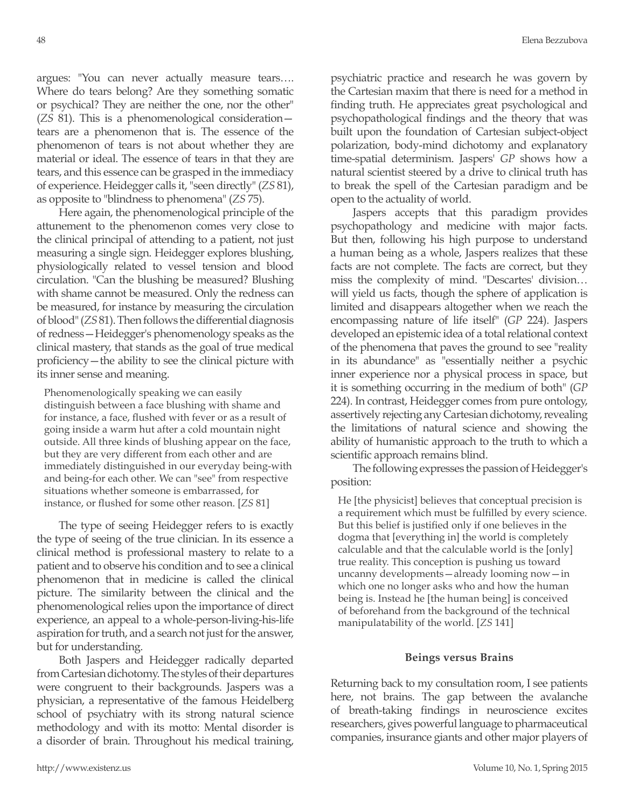argues: "You can never actually measure tears…. Where do tears belong? Are they something somatic or psychical? They are neither the one, nor the other" (*ZS* 81). This is a phenomenological consideration tears are a phenomenon that is. The essence of the phenomenon of tears is not about whether they are material or ideal. The essence of tears in that they are tears, and this essence can be grasped in the immediacy of experience. Heidegger calls it, "seen directly" (*ZS* 81), as opposite to "blindness to phenomena" (*ZS* 75).

Here again, the phenomenological principle of the attunement to the phenomenon comes very close to the clinical principal of attending to a patient, not just measuring a single sign. Heidegger explores blushing, physiologically related to vessel tension and blood circulation. "Can the blushing be measured? Blushing with shame cannot be measured. Only the redness can be measured, for instance by measuring the circulation of blood" (*ZS* 81). Then follows the differential diagnosis of redness—Heidegger's phenomenology speaks as the clinical mastery, that stands as the goal of true medical proficiency—the ability to see the clinical picture with its inner sense and meaning.

Phenomenologically speaking we can easily distinguish between a face blushing with shame and for instance, a face, flushed with fever or as a result of going inside a warm hut after a cold mountain night outside. All three kinds of blushing appear on the face, but they are very different from each other and are immediately distinguished in our everyday being-with and being-for each other. We can "see" from respective situations whether someone is embarrassed, for instance, or flushed for some other reason. [*ZS* 81]

The type of seeing Heidegger refers to is exactly the type of seeing of the true clinician. In its essence a clinical method is professional mastery to relate to a patient and to observe his condition and to see a clinical phenomenon that in medicine is called the clinical picture. The similarity between the clinical and the phenomenological relies upon the importance of direct experience, an appeal to a whole-person-living-his-life aspiration for truth, and a search not just for the answer, but for understanding.

Both Jaspers and Heidegger radically departed from Cartesian dichotomy. The styles of their departures were congruent to their backgrounds. Jaspers was a physician, a representative of the famous Heidelberg school of psychiatry with its strong natural science methodology and with its motto: Mental disorder is a disorder of brain. Throughout his medical training,

psychiatric practice and research he was govern by the Cartesian maxim that there is need for a method in finding truth. He appreciates great psychological and psychopathological findings and the theory that was built upon the foundation of Cartesian subject-object polarization, body-mind dichotomy and explanatory time-spatial determinism. Jaspers' *GP* shows how a natural scientist steered by a drive to clinical truth has to break the spell of the Cartesian paradigm and be open to the actuality of world.

Jaspers accepts that this paradigm provides psychopathology and medicine with major facts. But then, following his high purpose to understand a human being as a whole, Jaspers realizes that these facts are not complete. The facts are correct, but they miss the complexity of mind. "Descartes' division… will yield us facts, though the sphere of application is limited and disappears altogether when we reach the encompassing nature of life itself" (*GP* 224). Jaspers developed an epistemic idea of a total relational context of the phenomena that paves the ground to see "reality in its abundance" as "essentially neither a psychic inner experience nor a physical process in space, but it is something occurring in the medium of both" (*GP* 224). In contrast, Heidegger comes from pure ontology, assertively rejecting any Cartesian dichotomy, revealing the limitations of natural science and showing the ability of humanistic approach to the truth to which a scientific approach remains blind.

The following expresses the passion of Heidegger's position:

He [the physicist] believes that conceptual precision is a requirement which must be fulfilled by every science. But this belief is justified only if one believes in the dogma that [everything in] the world is completely calculable and that the calculable world is the [only] true reality. This conception is pushing us toward uncanny developments—already looming now—in which one no longer asks who and how the human being is. Instead he [the human being] is conceived of beforehand from the background of the technical manipulatability of the world. [*ZS* 141]

#### **Beings versus Brains**

Returning back to my consultation room, I see patients here, not brains. The gap between the avalanche of breath-taking findings in neuroscience excites researchers, gives powerful language to pharmaceutical companies, insurance giants and other major players of